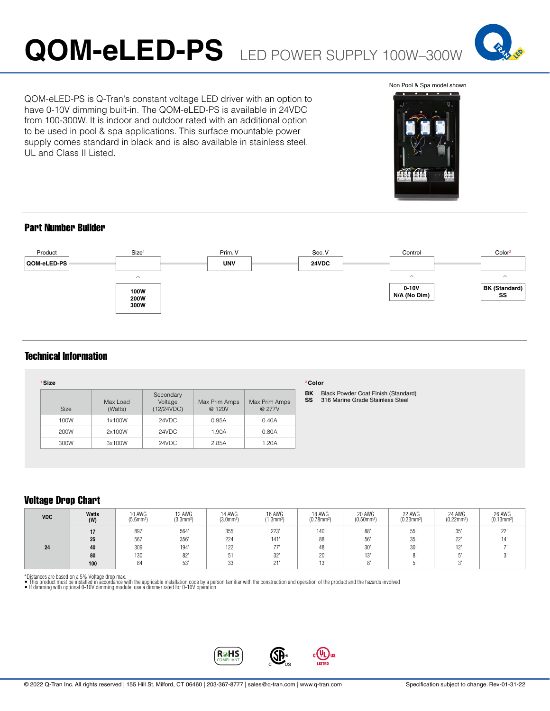# **QOM-eLED-PS** LED POWER SUPPLY 100W–300W



QOM-eLED-PS is Q-Tran's constant voltage LED driver with an option to have 0-10V dimming built-in. The QOM-eLED-PS is available in 24VDC from 100-300W. It is indoor and outdoor rated with an additional option to be used in pool & spa applications. This surface mountable power supply comes standard in black and is also available in stainless steel. UL and Class II Listed.

#### Non Pool & Spa model shown



### Part Number Builder



### Technical Information

| <b>Size</b> |                     |                                    |                         |                         |
|-------------|---------------------|------------------------------------|-------------------------|-------------------------|
| <b>Size</b> | Max Load<br>(Watts) | Secondary<br>Voltage<br>(12/24VDC) | Max Prim Amps<br>@ 120V | Max Prim Amps<br>@ 277V |
| 100W        | 1x100W              | 24VDC                              | 0.95A                   | 0.40A                   |
| 200W        | 2x100W              | 24VDC                              | 1.90A                   | 0.80A                   |
| 300W        | 3x100W              | 24VDC                              | 2.85A                   | 1.20A                   |

### <sup>2</sup>**Color**

**BK** Black Powder Coat Finish (Standard) **SS** 316 Marine Grade Stainless Steel

## Voltage Drop Chart

| <b>VDC</b> | Watts<br>(W) | 10 AWG<br>$(5.6$ mm <sup>2)</sup> | 12 AWG<br>$(3.3)$ m <sup>2</sup> | 14 AWG<br>$(3.0$ mm <sup>2</sup> ) | 16 AWG<br>(1.3mm <sup>2</sup> ) | 18 AWG<br>$(0.78$ mm <sup>2</sup> ) | 20 AWG<br>$(0.50$ mm <sup>2</sup> ) | 22 AWG<br>$(0.33$ mm <sup>2</sup> ) | 24 AWG<br>$(0.22$ mm <sup>2</sup> ) | 26 AWG<br>$(0.13$ mm <sup>2</sup> ) |
|------------|--------------|-----------------------------------|----------------------------------|------------------------------------|---------------------------------|-------------------------------------|-------------------------------------|-------------------------------------|-------------------------------------|-------------------------------------|
|            |              | 897                               | 564'                             | 355                                | 223                             | 140'                                | 88'                                 | 55'                                 | $\sim$ $-1$<br>35                   | 22"                                 |
|            | 25           | 567                               | 356                              | 224                                | 141'                            | 88'                                 | 56'                                 | 35'                                 | $\cap$<br>22                        |                                     |
| 24         | 40           | 309'                              | 194'                             | 122                                |                                 | 48'                                 | 30'                                 | 30'                                 | 401                                 |                                     |
|            | 80           | 130                               | 82'                              | 51                                 | 32                              | $20^{\circ}$                        | 101<br>13                           | $\Omega$                            |                                     |                                     |
|            | 100          | 84'                               | 52'                              | $\sim$<br>ںں                       | $0 +$                           | 101<br>∪ו                           |                                     |                                     |                                     |                                     |

\*Distances are based on a 5% Voltage drop max.<br>● This product must be installed in accordance with the applicable installation code by a person familiar with the construction and operation of the product and the hazards i



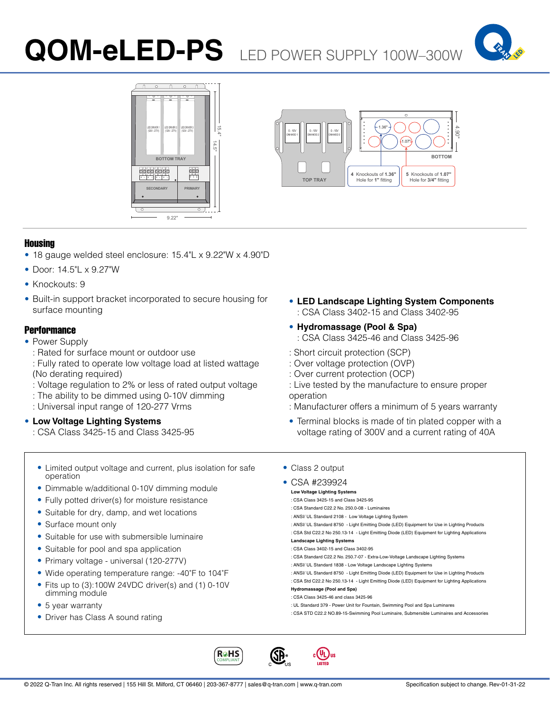# **QOM-eLED-PS** LED POWER SUPPLY 100W–300W







### Housing

- 18 gauge welded steel enclosure: 15.4"L x 9.22"W x 4.90"D
- Door: 14.5"L x 9.27"W
- Knockouts: 9
- Built-in support bracket incorporated to secure housing for surface mounting

### **Performance**

- Power Supply
	- : Rated for surface mount or outdoor use
	- : Fully rated to operate low voltage load at listed wattage (No derating required)
	- : Voltage regulation to 2% or less of rated output voltage
	- : The ability to be dimmed using 0-10V dimming
	- : Universal input range of 120-277 Vrms
- **Low Voltage Lighting Systems**
	- : CSA Class 3425-15 and Class 3425-95
- **LED Landscape Lighting System Components** : CSA Class 3402-15 and Class 3402-95
- **Hydromassage (Pool & Spa)** : CSA Class 3425-46 and Class 3425-96
- : Short circuit protection (SCP)
- : Over voltage protection (OVP)
- : Over current protection (OCP)
- : Live tested by the manufacture to ensure proper operation
- : Manufacturer offers a minimum of 5 years warranty
- Terminal blocks is made of tin plated copper with a voltage rating of 300V and a current rating of 40A
- Limited output voltage and current, plus isolation for safe operation
- Dimmable w/additional 0-10V dimming module
- Fully potted driver(s) for moisture resistance
- Suitable for dry, damp, and wet locations
- Surface mount only
- Suitable for use with submersible luminaire
- Suitable for pool and spa application
- Primary voltage universal (120-277V)
- Wide operating temperature range: -40˚F to 104˚F
- Fits up to (3):100W 24VDC driver(s) and (1) 0-10V dimming module
- 5 year warranty
- Driver has Class A sound rating
- Class 2 output
	- CSA #239924 **Low Voltage Lighting Systems** : CSA Class 3425-15 and Class 3425-95 : CSA Standard C22.2 No. 250.0-08 - Luminaires : ANSI/ UL Standard 2108 - Low Voltage Lighting System : ANSI/ UL Standard 8750 - Light Emitting Diode (LED) Equipment for Use in Lighting Products : CSA Std C22.2 No 250.13-14 - Light Emitting Diode (LED) Equipment for Lighting Applications **Landscape Lighting Systems** : CSA Class 3402-15 and Class 3402-95 : CSA Standard C22.2 No. 250.7-07 - Extra-Low-Voltage Landscape Lighting Systems : ANSI/ UL Standard 1838 - Low Voltage Landscape Lighting Systems : ANSI/ UL Standard 8750 - Light Emitting Diode (LED) Equipment for Use in Lighting Products : CSA Std C22.2 No 250.13-14 - Light Emitting Diode (LED) Equipment for Lighting Applications **Hydromassage (Pool and Spa)** : CSA Class 3425-46 and class 3425-96 : UL Standard 379 - Power Unit for Fountain, Swimming Pool and Spa Luminares : CSA STD C22.2 NO.89-15-Swimming Pool Luminaire, Submersible Luminaires and Accessories